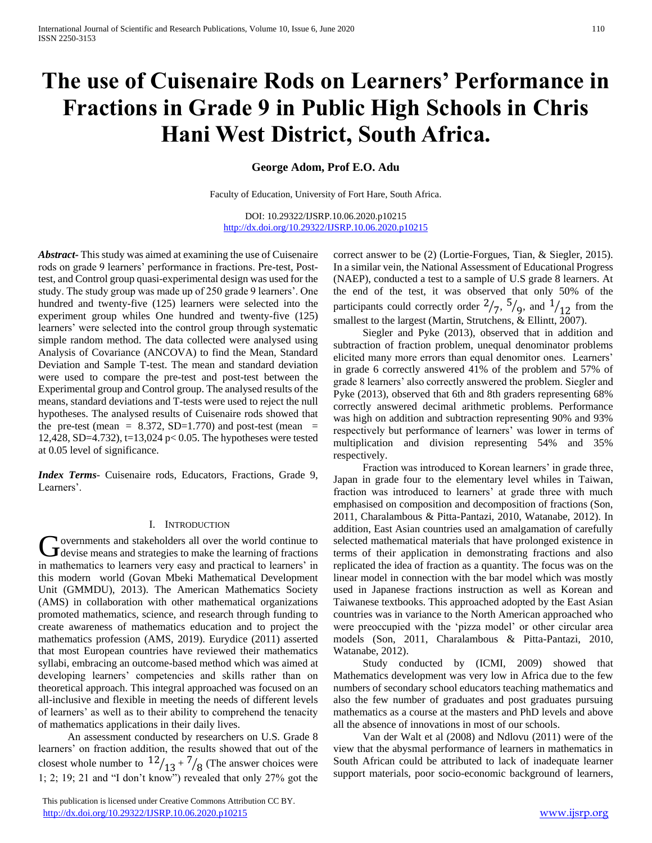# **The use of Cuisenaire Rods on Learners' Performance in Fractions in Grade 9 in Public High Schools in Chris Hani West District, South Africa.**

**George Adom, Prof E.O. Adu** 

Faculty of Education, University of Fort Hare, South Africa.

DOI: 10.29322/IJSRP.10.06.2020.p10215 <http://dx.doi.org/10.29322/IJSRP.10.06.2020.p10215>

*Abstract***-** This study was aimed at examining the use of Cuisenaire rods on grade 9 learners' performance in fractions. Pre-test, Posttest, and Control group quasi-experimental design was used for the study. The study group was made up of 250 grade 9 learners'. One hundred and twenty-five (125) learners were selected into the experiment group whiles One hundred and twenty-five (125) learners' were selected into the control group through systematic simple random method. The data collected were analysed using Analysis of Covariance (ANCOVA) to find the Mean, Standard Deviation and Sample T-test. The mean and standard deviation were used to compare the pre-test and post-test between the Experimental group and Control group. The analysed results of the means, standard deviations and T-tests were used to reject the null hypotheses. The analysed results of Cuisenaire rods showed that the pre-test (mean =  $8.372$ , SD=1.770) and post-test (mean = 12,428, SD=4.732), t=13,024 p< 0.05. The hypotheses were tested at 0.05 level of significance.

*Index Terms*- Cuisenaire rods, Educators, Fractions, Grade 9, Learners'.

#### I. INTRODUCTION

overnments and stakeholders all over the world continue to Governments and stakeholders all over the world continue to devise means and strategies to make the learning of fractions in mathematics to learners very easy and practical to learners' in this modern world (Govan Mbeki Mathematical Development Unit (GMMDU), 2013). The American Mathematics Society (AMS) in collaboration with other mathematical organizations promoted mathematics, science, and research through funding to create awareness of mathematics education and to project the mathematics profession (AMS, 2019). Eurydice (2011) asserted that most European countries have reviewed their mathematics syllabi, embracing an outcome-based method which was aimed at developing learners' competencies and skills rather than on theoretical approach. This integral approached was focused on an all-inclusive and flexible in meeting the needs of different levels of learners' as well as to their ability to comprehend the tenacity of mathematics applications in their daily lives.

 An assessment conducted by researchers on U.S. Grade 8 learners' on fraction addition, the results showed that out of the closest whole number to  $12/13 + 7/8$  (The answer choices were 1; 2; 19; 21 and "I don't know") revealed that only 27% got the

 This publication is licensed under Creative Commons Attribution CC BY. <http://dx.doi.org/10.29322/IJSRP.10.06.2020.p10215> [www.ijsrp.org](http://ijsrp.org/)

correct answer to be (2) (Lortie-Forgues, Tian, & Siegler, 2015). In a similar vein, the National Assessment of Educational Progress (NAEP), conducted a test to a sample of U.S grade 8 learners. At the end of the test, it was observed that only 50% of the participants could correctly order  $\frac{2}{7}$ ,  $\frac{5}{9}$ , and  $\frac{1}{12}$  from the smallest to the largest (Martin, Strutchens, & Ellintt, 2007).

 Siegler and Pyke (2013), observed that in addition and subtraction of fraction problem, unequal denominator problems elicited many more errors than equal denomitor ones. Learners' in grade 6 correctly answered 41% of the problem and 57% of grade 8 learners' also correctly answered the problem. Siegler and Pyke (2013), observed that 6th and 8th graders representing 68% correctly answered decimal arithmetic problems. Performance was high on addition and subtraction representing 90% and 93% respectively but performance of learners' was lower in terms of multiplication and division representing 54% and 35% respectively.

 Fraction was introduced to Korean learners' in grade three, Japan in grade four to the elementary level whiles in Taiwan, fraction was introduced to learners' at grade three with much emphasised on composition and decomposition of fractions (Son, 2011, Charalambous & Pitta-Pantazi, 2010, Watanabe, 2012). In addition, East Asian countries used an amalgamation of carefully selected mathematical materials that have prolonged existence in terms of their application in demonstrating fractions and also replicated the idea of fraction as a quantity. The focus was on the linear model in connection with the bar model which was mostly used in Japanese fractions instruction as well as Korean and Taiwanese textbooks. This approached adopted by the East Asian countries was in variance to the North American approached who were preoccupied with the 'pizza model' or other circular area models (Son, 2011, Charalambous & Pitta-Pantazi, 2010, Watanabe, 2012).

 Study conducted by (ICMI, 2009) showed that Mathematics development was very low in Africa due to the few numbers of secondary school educators teaching mathematics and also the few number of graduates and post graduates pursuing mathematics as a course at the masters and PhD levels and above all the absence of innovations in most of our schools.

 Van der Walt et al (2008) and Ndlovu (2011) were of the view that the abysmal performance of learners in mathematics in South African could be attributed to lack of inadequate learner support materials, poor socio-economic background of learners,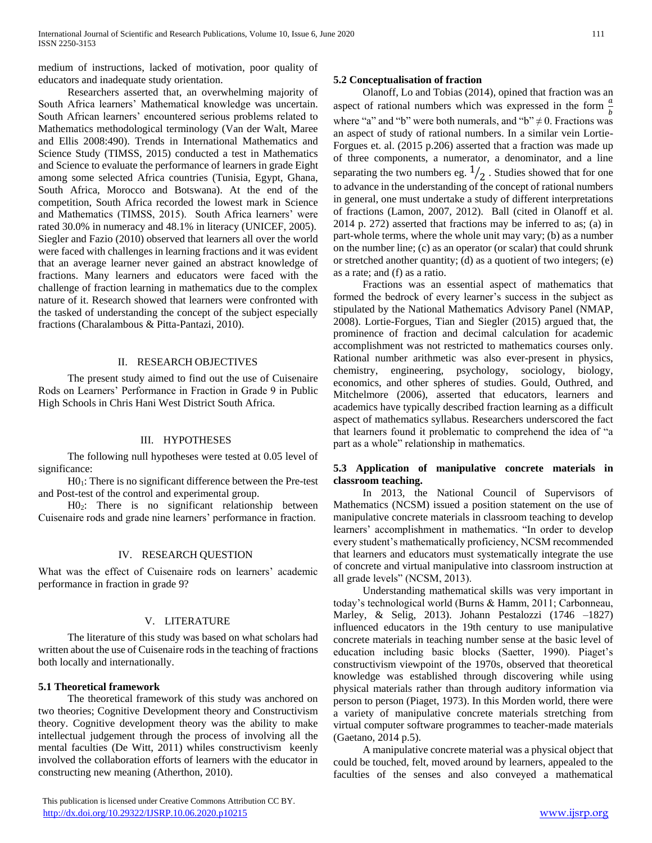medium of instructions, lacked of motivation, poor quality of educators and inadequate study orientation.

 Researchers asserted that, an overwhelming majority of South Africa learners' Mathematical knowledge was uncertain. South African learners' encountered serious problems related to Mathematics methodological terminology (Van der Walt, Maree and Ellis 2008:490). Trends in International Mathematics and Science Study (TIMSS, 2015) conducted a test in Mathematics and Science to evaluate the performance of learners in grade Eight among some selected Africa countries (Tunisia, Egypt, Ghana, South Africa, Morocco and Botswana). At the end of the competition, South Africa recorded the lowest mark in Science and Mathematics (TIMSS, 2015). South Africa learners' were rated 30.0% in numeracy and 48.1% in literacy (UNICEF, 2005). Siegler and Fazio (2010) observed that learners all over the world were faced with challenges in learning fractions and it was evident that an average learner never gained an abstract knowledge of fractions. Many learners and educators were faced with the challenge of fraction learning in mathematics due to the complex nature of it. Research showed that learners were confronted with the tasked of understanding the concept of the subject especially fractions (Charalambous & Pitta-Pantazi, 2010).

## II. RESEARCH OBJECTIVES

 The present study aimed to find out the use of Cuisenaire Rods on Learners' Performance in Fraction in Grade 9 in Public High Schools in Chris Hani West District South Africa.

## III. HYPOTHESES

 The following null hypotheses were tested at 0.05 level of significance:

 $H0<sub>1</sub>$ : There is no significant difference between the Pre-test and Post-test of the control and experimental group.

 H02: There is no significant relationship between Cuisenaire rods and grade nine learners' performance in fraction.

## IV. RESEARCH QUESTION

What was the effect of Cuisenaire rods on learners' academic performance in fraction in grade 9?

## V. LITERATURE

 The literature of this study was based on what scholars had written about the use of Cuisenaire rods in the teaching of fractions both locally and internationally.

## **5.1 Theoretical framework**

 The theoretical framework of this study was anchored on two theories; Cognitive Development theory and Constructivism theory. Cognitive development theory was the ability to make intellectual judgement through the process of involving all the mental faculties (De Witt, 2011) whiles constructivism keenly involved the collaboration efforts of learners with the educator in constructing new meaning (Atherthon, 2010).

## **5.2 Conceptualisation of fraction**

 Olanoff, Lo and Tobias (2014), opined that fraction was an aspect of rational numbers which was expressed in the form  $\frac{a}{b}$ where "a" and "b" were both numerals, and "b"  $\neq$  0. Fractions was an aspect of study of rational numbers. In a similar vein Lortie-Forgues et. al. (2015 p.206) asserted that a fraction was made up of three components, a numerator, a denominator, and a line separating the two numbers eg.  $1/2$  . Studies showed that for one to advance in the understanding of the concept of rational numbers in general, one must undertake a study of different interpretations of fractions (Lamon, 2007, 2012). Ball (cited in Olanoff et al. 2014 p. 272) asserted that fractions may be inferred to as; (a) in part-whole terms, where the whole unit may vary; (b) as a number on the number line; (c) as an operator (or scalar) that could shrunk or stretched another quantity; (d) as a quotient of two integers; (e) as a rate; and (f) as a ratio.

 Fractions was an essential aspect of mathematics that formed the bedrock of every learner's success in the subject as stipulated by the National Mathematics Advisory Panel (NMAP, 2008). Lortie-Forgues, Tian and Siegler (2015) argued that, the prominence of fraction and decimal calculation for academic accomplishment was not restricted to mathematics courses only. Rational number arithmetic was also ever-present in physics, chemistry, engineering, psychology, sociology, biology, economics, and other spheres of studies. Gould, Outhred, and Mitchelmore (2006), asserted that educators, learners and academics have typically described fraction learning as a difficult aspect of mathematics syllabus. Researchers underscored the fact that learners found it problematic to comprehend the idea of "a part as a whole" relationship in mathematics.

# **5.3 Application of manipulative concrete materials in classroom teaching.**

 In 2013, the National Council of Supervisors of Mathematics (NCSM) issued a position statement on the use of manipulative concrete materials in classroom teaching to develop learners' accomplishment in mathematics. "In order to develop every student's mathematically proficiency, NCSM recommended that learners and educators must systematically integrate the use of concrete and virtual manipulative into classroom instruction at all grade levels" (NCSM, 2013).

 Understanding mathematical skills was very important in today's technological world (Burns & Hamm, 2011; Carbonneau, Marley, & Selig, 2013). Johann Pestalozzi (1746 –1827) influenced educators in the 19th century to use manipulative concrete materials in teaching number sense at the basic level of education including basic blocks (Saetter, 1990). Piaget's constructivism viewpoint of the 1970s, observed that theoretical knowledge was established through discovering while using physical materials rather than through auditory information via person to person (Piaget, 1973). In this Morden world, there were a variety of manipulative concrete materials stretching from virtual computer software programmes to teacher-made materials (Gaetano, 2014 p.5).

 A manipulative concrete material was a physical object that could be touched, felt, moved around by learners, appealed to the faculties of the senses and also conveyed a mathematical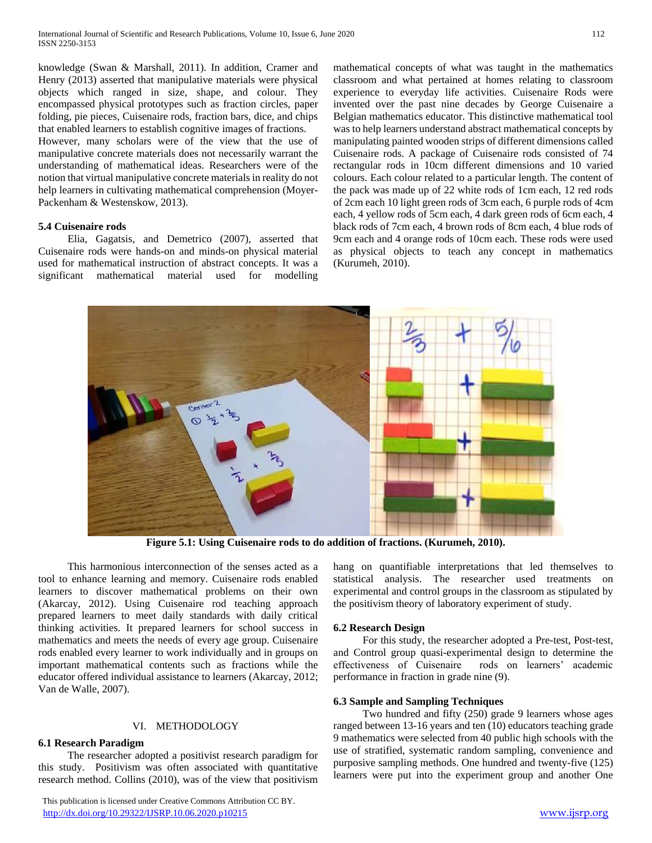knowledge (Swan & Marshall, 2011). In addition, Cramer and Henry (2013) asserted that manipulative materials were physical objects which ranged in size, shape, and colour. They encompassed physical prototypes such as fraction circles, paper folding, pie pieces, Cuisenaire rods, fraction bars, dice, and chips that enabled learners to establish cognitive images of fractions.

However, many scholars were of the view that the use of manipulative concrete materials does not necessarily warrant the understanding of mathematical ideas. Researchers were of the notion that virtual manipulative concrete materials in reality do not help learners in cultivating mathematical comprehension (Moyer-Packenham & Westenskow, 2013).

# **5.4 Cuisenaire rods**

 Elia, Gagatsis, and Demetrico (2007), asserted that Cuisenaire rods were hands-on and minds-on physical material used for mathematical instruction of abstract concepts. It was a significant mathematical material used for modelling

mathematical concepts of what was taught in the mathematics classroom and what pertained at homes relating to classroom experience to everyday life activities. Cuisenaire Rods were invented over the past nine decades by George Cuisenaire a Belgian mathematics educator. This distinctive mathematical tool was to help learners understand abstract mathematical concepts by manipulating painted wooden strips of different dimensions called Cuisenaire rods. A package of Cuisenaire rods consisted of 74 rectangular rods in 10cm different dimensions and 10 varied colours. Each colour related to a particular length. The content of the pack was made up of 22 white rods of 1cm each, 12 red rods of 2cm each 10 light green rods of 3cm each, 6 purple rods of 4cm each, 4 yellow rods of 5cm each, 4 dark green rods of 6cm each, 4 black rods of 7cm each, 4 brown rods of 8cm each, 4 blue rods of 9cm each and 4 orange rods of 10cm each. These rods were used as physical objects to teach any concept in mathematics (Kurumeh, 2010).



**Figure 5.1: Using Cuisenaire rods to do addition of fractions. (Kurumeh, 2010).**

 This harmonious interconnection of the senses acted as a tool to enhance learning and memory. Cuisenaire rods enabled learners to discover mathematical problems on their own (Akarcay, 2012). Using Cuisenaire rod teaching approach prepared learners to meet daily standards with daily critical thinking activities. It prepared learners for school success in mathematics and meets the needs of every age group. Cuisenaire rods enabled every learner to work individually and in groups on important mathematical contents such as fractions while the educator offered individual assistance to learners (Akarcay, 2012; Van de Walle, 2007).

# VI. METHODOLOGY

# **6.1 Research Paradigm**

 The researcher adopted a positivist research paradigm for this study. Positivism was often associated with quantitative research method. Collins (2010), was of the view that positivism

 This publication is licensed under Creative Commons Attribution CC BY. <http://dx.doi.org/10.29322/IJSRP.10.06.2020.p10215> [www.ijsrp.org](http://ijsrp.org/)

hang on quantifiable interpretations that led themselves to statistical analysis. The researcher used treatments on experimental and control groups in the classroom as stipulated by the positivism theory of laboratory experiment of study.

# **6.2 Research Design**

 For this study, the researcher adopted a Pre-test, Post-test, and Control group quasi-experimental design to determine the effectiveness of Cuisenaire rods on learners' academic performance in fraction in grade nine (9).

# **6.3 Sample and Sampling Techniques**

 Two hundred and fifty (250) grade 9 learners whose ages ranged between 13-16 years and ten (10) educators teaching grade 9 mathematics were selected from 40 public high schools with the use of stratified, systematic random sampling, convenience and purposive sampling methods. One hundred and twenty-five (125) learners were put into the experiment group and another One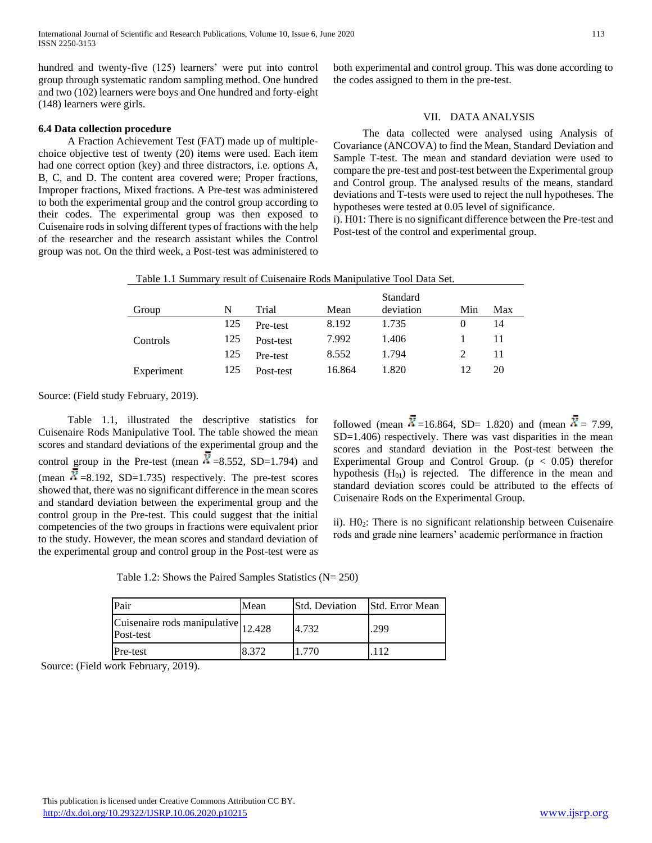hundred and twenty-five (125) learners' were put into control group through systematic random sampling method. One hundred and two (102) learners were boys and One hundred and forty-eight (148) learners were girls.

# **6.4 Data collection procedure**

 A Fraction Achievement Test (FAT) made up of multiplechoice objective test of twenty (20) items were used. Each item had one correct option (key) and three distractors, i.e. options A, B, C, and D. The content area covered were; Proper fractions, Improper fractions, Mixed fractions. A Pre-test was administered to both the experimental group and the control group according to their codes. The experimental group was then exposed to Cuisenaire rods in solving different types of fractions with the help of the researcher and the research assistant whiles the Control group was not. On the third week, a Post-test was administered to both experimental and control group. This was done according to the codes assigned to them in the pre-test.

# VII. DATA ANALYSIS

 The data collected were analysed using Analysis of Covariance (ANCOVA) to find the Mean, Standard Deviation and Sample T-test. The mean and standard deviation were used to compare the pre-test and post-test between the Experimental group and Control group. The analysed results of the means, standard deviations and T-tests were used to reject the null hypotheses. The hypotheses were tested at 0.05 level of significance.

i). H01: There is no significant difference between the Pre-test and Post-test of the control and experimental group.

| Group      | N   | Trial     | Mean   | <b>Standard</b><br>deviation | Min      | Max |
|------------|-----|-----------|--------|------------------------------|----------|-----|
|            | 125 | Pre-test  | 8.192  | 1.735                        | $\theta$ | 14  |
| Controls   | 125 | Post-test | 7.992  | 1.406                        |          | 11  |
|            | 125 | Pre-test  | 8.552  | 1.794                        |          | 11  |
| Experiment | 125 | Post-test | 16.864 | 1.820                        | 12       | 20  |

Source: (Field study February, 2019).

 Table 1.1, illustrated the descriptive statistics for Cuisenaire Rods Manipulative Tool. The table showed the mean scores and standard deviations of the experimental group and the control group in the Pre-test (mean  $\overline{X}$  =8.552, SD=1.794) and (mean  $\overrightarrow{\mathbf{X}}$  =8.192, SD=1.735) respectively. The pre-test scores showed that, there was no significant difference in the mean scores and standard deviation between the experimental group and the control group in the Pre-test. This could suggest that the initial competencies of the two groups in fractions were equivalent prior to the study. However, the mean scores and standard deviation of the experimental group and control group in the Post-test were as followed (mean  $\overline{X}$  =16.864, SD= 1.820) and (mean  $\overline{X}$  = 7.99, SD=1.406) respectively. There was vast disparities in the mean scores and standard deviation in the Post-test between the Experimental Group and Control Group.  $(p < 0.05)$  therefor hypothesis  $(H<sub>01</sub>)$  is rejected. The difference in the mean and standard deviation scores could be attributed to the effects of Cuisenaire Rods on the Experimental Group.

ii). H02: There is no significant relationship between Cuisenaire rods and grade nine learners' academic performance in fraction

Table 1.2: Shows the Paired Samples Statistics (N= 250)

| Pair                                                       | Mean  | <b>Std. Deviation</b> | <b>Std.</b> Error Mean |
|------------------------------------------------------------|-------|-----------------------|------------------------|
| Cuisenaire rods manipulative $\vert_{12.428}$<br>Post-test |       | 4.732                 | .299                   |
| <b>Pre-test</b>                                            | 8.372 | 1 770                 |                        |

Source: (Field work February, 2019).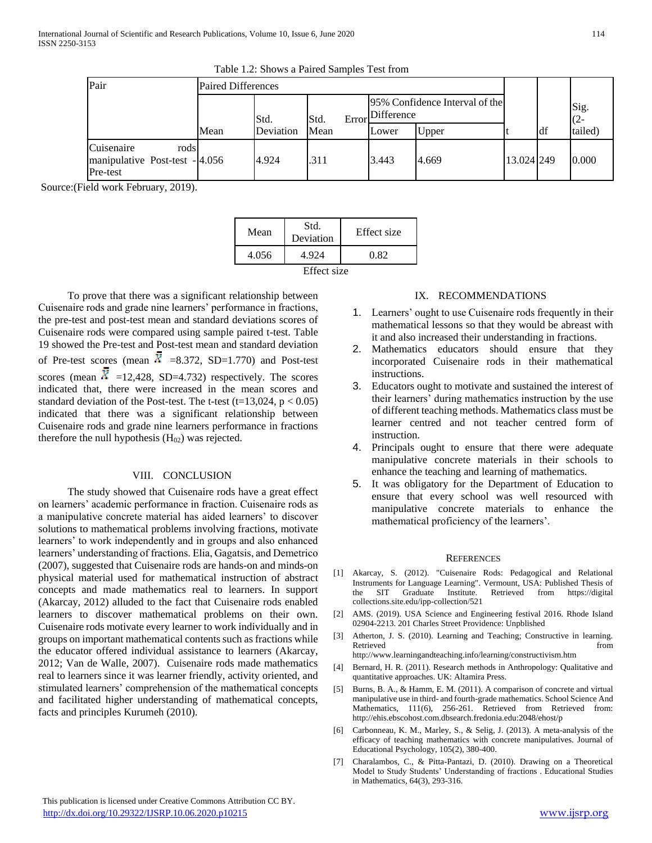| Pair                                                             | <b>Paired Differences</b> |           |      |                                                    |       |            |     |                |
|------------------------------------------------------------------|---------------------------|-----------|------|----------------------------------------------------|-------|------------|-----|----------------|
|                                                                  |                           | Std.      | Std. | 95% Confidence Interval of the<br>Error Difference |       |            |     | Sig.<br>$(2 -$ |
|                                                                  | Mean                      | Deviation | Mean | Lower                                              | Upper |            | ldf | tailed)        |
| Cuisenaire<br>rods<br>manipulative Post-test - 4.056<br>Pre-test |                           | 4.924     | .311 | 3.443                                              | 4.669 | 13.024 249 |     | 0.000          |

Source:(Field work February, 2019).

| Mean        | Std.<br>Deviation | Effect size |  |  |  |
|-------------|-------------------|-------------|--|--|--|
| 4.056       | 4.924             | 0.82        |  |  |  |
| Effect size |                   |             |  |  |  |

 To prove that there was a significant relationship between Cuisenaire rods and grade nine learners' performance in fractions, the pre-test and post-test mean and standard deviations scores of Cuisenaire rods were compared using sample paired t-test. Table 19 showed the Pre-test and Post-test mean and standard deviation of Pre-test scores (mean  $\overline{N}$  =8.372, SD=1.770) and Post-test scores (mean  $\bar{X}$  =12,428, SD=4.732) respectively. The scores indicated that, there were increased in the mean scores and standard deviation of the Post-test. The t-test  $(t=13,024, p < 0.05)$ indicated that there was a significant relationship between Cuisenaire rods and grade nine learners performance in fractions therefore the null hypothesis  $(H_{02})$  was rejected.

## VIII. CONCLUSION

 The study showed that Cuisenaire rods have a great effect on learners' academic performance in fraction. Cuisenaire rods as a manipulative concrete material has aided learners' to discover solutions to mathematical problems involving fractions, motivate learners' to work independently and in groups and also enhanced learners' understanding of fractions. Elia, Gagatsis, and Demetrico (2007), suggested that Cuisenaire rods are hands-on and minds-on physical material used for mathematical instruction of abstract concepts and made mathematics real to learners. In support (Akarcay, 2012) alluded to the fact that Cuisenaire rods enabled learners to discover mathematical problems on their own. Cuisenaire rods motivate every learner to work individually and in groups on important mathematical contents such as fractions while the educator offered individual assistance to learners (Akarcay, 2012; Van de Walle, 2007). Cuisenaire rods made mathematics real to learners since it was learner friendly, activity oriented, and stimulated learners' comprehension of the mathematical concepts and facilitated higher understanding of mathematical concepts, facts and principles Kurumeh (2010).

# IX. RECOMMENDATIONS

- 1. Learners' ought to use Cuisenaire rods frequently in their mathematical lessons so that they would be abreast with it and also increased their understanding in fractions.
- 2. Mathematics educators should ensure that they incorporated Cuisenaire rods in their mathematical instructions.
- 3. Educators ought to motivate and sustained the interest of their learners' during mathematics instruction by the use of different teaching methods. Mathematics class must be learner centred and not teacher centred form of instruction.
- 4. Principals ought to ensure that there were adequate manipulative concrete materials in their schools to enhance the teaching and learning of mathematics.
- 5. It was obligatory for the Department of Education to ensure that every school was well resourced with manipulative concrete materials to enhance the mathematical proficiency of the learners'.

## **REFERENCES**

- [1] Akarcay, S. (2012). "Cuisenaire Rods: Pedagogical and Relational Instruments for Language Learning". Vermount, USA: Published Thesis of the SIT Graduate Institute. Retrieved from https://digital collections.site.edu/ipp-collection/521
- [2] AMS. (2019). USA Science and Engineering festival 2016. Rhode Island 02904-2213. 201 Charles Street Providence: Unpblished
- [3] Atherton, J. S. (2010). Learning and Teaching; Constructive in learning. Retrieved from http://www.learningandteaching.info/learning/constructivism.htm
- [4] Bernard, H. R. (2011). Research methods in Anthropology: Qualitative and quantitative approaches. UK: Altamira Press.
- [5] Burns, B. A., & Hamm, E. M. (2011). A comparison of concrete and virtual manipulative use in third- and fourth-grade mathematics. School Science And Mathematics, 111(6), 256-261. Retrieved from Retrieved from: http://ehis.ebscohost.com.dbsearch.fredonia.edu:2048/ehost/p
- [6] Carbonneau, K. M., Marley, S., & Selig, J. (2013). A meta-analysis of the efficacy of teaching mathematics with concrete manipulatives. Journal of Educational Psychology, 105(2), 380-400.
- [7] Charalambos, C., & Pitta-Pantazi, D. (2010). Drawing on a Theoretical Model to Study Students' Understanding of fractions . Educational Studies in Mathematics, 64(3), 293-316.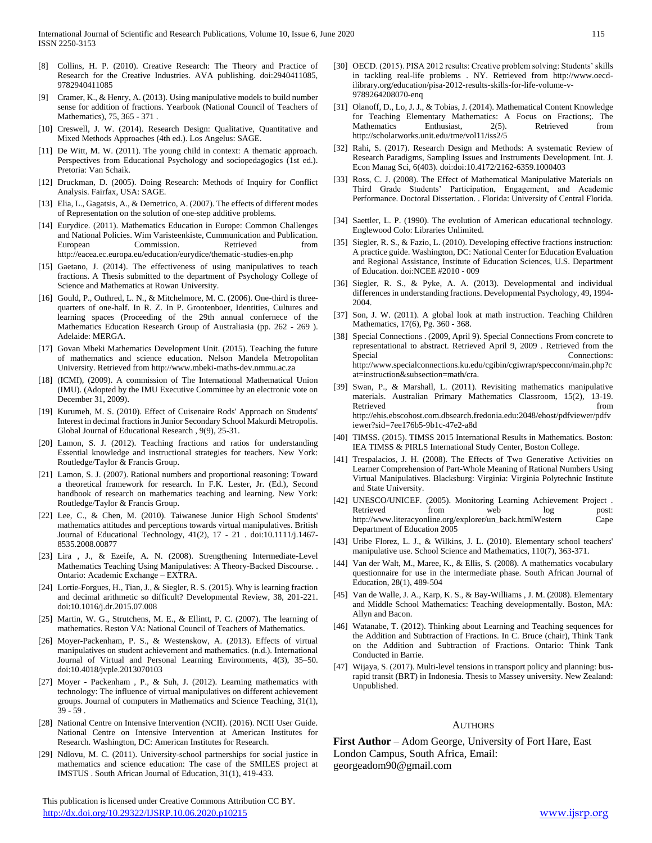- [8] Collins, H. P. (2010). Creative Research: The Theory and Practice of Research for the Creative Industries. AVA publishing. doi:2940411085, 9782940411085
- [9] Cramer, K., & Henry, A. (2013). Using manipulative models to build number sense for addition of fractions. Yearbook (National Council of Teachers of Mathematics), 75, 365 - 371 .
- [10] Creswell, J. W. (2014). Research Design: Qualitative, Quantitative and Mixed Methods Approaches (4th ed.). Los Angelus: SAGE.
- [11] De Witt, M. W. (2011). The young child in context: A thematic approach. Perspectives from Educational Psychology and sociopedagogics (1st ed.). Pretoria: Van Schaik.
- [12] Druckman, D. (2005). Doing Research: Methods of Inquiry for Conflict Analysis. Fairfax, USA: SAGE.
- [13] Elia, L., Gagatsis, A., & Demetrico, A. (2007). The effects of different modes of Representation on the solution of one-step additive problems.
- [14] Eurydice. (2011). Mathematics Education in Europe: Common Challenges and National Policies. Wim Varisteenkiste, Cummunication and Publication. European Commission. Retrieved from http://eacea.ec.europa.eu/education/eurydice/thematic-studies-en.php
- [15] Gaetano, J. (2014). The effectiveness of using manipulatives to teach fractions. A Thesis submitted to the department of Psychology College of Science and Mathematics at Rowan University.
- [16] Gould, P., Outhred, L. N., & Mitchelmore, M. C. (2006). One-third is threequarters of one-half. In R. Z. In P. Grootenboer, Identities, Cultures and learning spaces (Proceeding of the 29th annual confernece of the Mathematics Education Research Group of Australiasia (pp. 262 - 269 ). Adelaide: MERGA.
- [17] Govan Mbeki Mathematics Development Unit. (2015). Teaching the future of mathematics and science education. Nelson Mandela Metropolitan University. Retrieved from http://www.mbeki-maths-dev.nmmu.ac.za
- [18] (ICMI), (2009). A commission of The International Mathematical Union (IMU). (Adopted by the IMU Executive Committee by an electronic vote on December 31, 2009).
- [19] Kurumeh, M. S. (2010). Effect of Cuisenaire Rods' Approach on Students' Interest in decimal fractions in Junior Secondary School Makurdi Metropolis. Global Journal of Educational Research , 9(9), 25-31.
- [20] Lamon, S. J. (2012). Teaching fractions and ratios for understanding Essential knowledge and instructional strategies for teachers. New York: Routledge/Taylor & Francis Group.
- [21] Lamon, S. J. (2007). Rational numbers and proportional reasoning: Toward a theoretical framework for research. In F.K. Lester, Jr. (Ed.), Second handbook of research on mathematics teaching and learning. New York: Routledge/Taylor & Francis Group.
- [22] Lee, C., & Chen, M. (2010). Taiwanese Junior High School Students' mathematics attitudes and perceptions towards virtual manipulatives. British Journal of Educational Technology, 41(2), 17 - 21 . doi:10.1111/j.1467- 8535.2008.00877
- [23] Lira , J., & Ezeife, A. N. (2008). Strengthening Intermediate-Level Mathematics Teaching Using Manipulatives: A Theory-Backed Discourse. . Ontario: Academic Exchange – EXTRA.
- [24] Lortie-Forgues, H., Tian, J., & Siegler, R. S. (2015). Why is learning fraction and decimal arithmetic so difficult? Developmental Review, 38, 201-221. doi:10.1016/j.dr.2015.07.008
- [25] Martin, W. G., Strutchens, M. E., & Ellintt, P. C. (2007). The learning of mathematics. Reston VA: National Council of Teachers of Mathematics.
- [26] Moyer-Packenham, P. S., & Westenskow, A. (2013). Effects of virtual manipulatives on student achievement and mathematics. (n.d.). International Journal of Virtual and Personal Learning Environments, 4(3), 35–50. doi:10.4018/jvple.2013070103
- [27] Moyer Packenham , P., & Suh, J. (2012). Learning mathematics with technology: The influence of virtual manipulatives on different achievement groups. Journal of computers in Mathematics and Science Teaching, 31(1), 39 - 59 .
- [28] National Centre on Intensive Intervention (NCII). (2016). NCII User Guide. National Centre on Intensive Intervention at American Institutes for Research. Washington, DC: American Institutes for Research.
- [29] Ndlovu, M. C. (2011). University-school partnerships for social justice in mathematics and science education: The case of the SMILES project at IMSTUS . South African Journal of Education, 31(1), 419-433.
- [30] OECD. (2015). PISA 2012 results: Creative problem solving: Students' skills in tackling real-life problems . NY. Retrieved from http://www.oecdilibrary.org/education/pisa-2012-results-skills-for-life-volume-v-9789264208070-enq
- [31] Olanoff, D., Lo, J. J., & Tobias, J. (2014). Mathematical Content Knowledge for Teaching Elementary Mathematics: A Focus on Fractions;. The Mathematics Enthusiast, 2(5). Retrieved from http://scholarworks.unit.edu/tme/vol11/iss2/5
- [32] Rahi, S. (2017). Research Design and Methods: A systematic Review of Research Paradigms, Sampling Issues and Instruments Development. Int. J. Econ Manag Sci, 6(403). doi:doi:10.4172/2162-6359.1000403
- [33] Ross, C. J. (2008). The Effect of Mathematical Manipulative Materials on Third Grade Students' Participation, Engagement, and Academic Performance. Doctoral Dissertation. . Florida: University of Central Florida.
- [34] Saettler, L. P. (1990). The evolution of American educational technology. Englewood Colo: Libraries Unlimited.
- [35] Siegler, R. S., & Fazio, L. (2010). Developing effective fractions instruction: A practice guide. Washington, DC: National Center for Education Evaluation and Regional Assistance, Institute of Education Sciences, U.S. Department of Education. doi:NCEE #2010 - 009
- [36] Siegler, R. S., & Pyke, A. A. (2013). Developmental and individual differences in understanding fractions. Developmental Psychology, 49, 1994- 2004.
- [37] Son, J. W. (2011). A global look at math instruction. Teaching Children Mathematics, 17(6), Pg. 360 - 368.
- [38] Special Connections . (2009, April 9). Special Connections From concrete to representational to abstract. Retrieved April 9, 2009 . Retrieved from the Special Connections: http://www.specialconnections.ku.edu/cgibin/cgiwrap/specconn/main.php?c at=instruction&subsection=math/cra.
- [39] Swan, P., & Marshall, L. (2011). Revisiting mathematics manipulative materials. Australian Primary Mathematics Classroom, 15(2), 13-19. Retrieved from http://ehis.ebscohost.com.dbsearch.fredonia.edu:2048/ehost/pdfviewer/pdfv iewer?sid=7ee176b5-9b1c-47e2-a8d
- [40] TIMSS. (2015). TIMSS 2015 International Results in Mathematics. Boston: IEA TIMSS & PIRLS International Study Center, Boston College.
- [41] Trespalacios, J. H. (2008). The Effects of Two Generative Activities on Learner Comprehension of Part-Whole Meaning of Rational Numbers Using Virtual Manipulatives. Blacksburg: Virginia: Virginia Polytechnic Institute and State University.
- [42] UNESCO/UNICEF. (2005). Monitoring Learning Achievement Project . Retrieved from web  $log$  post: http://www.literacyonline.org/explorer/un\_back.htmlWestern Cape Department of Education 2005
- [43] Uribe Florez, L. J., & Wilkins, J. L. (2010). Elementary school teachers' manipulative use. School Science and Mathematics, 110(7), 363-371.
- [44] Van der Walt, M., Maree, K., & Ellis, S. (2008). A mathematics vocabulary questionnaire for use in the intermediate phase. South African Journal of Education, 28(1), 489-504
- [45] Van de Walle, J. A., Karp, K. S., & Bay-Williams, J. M. (2008). Elementary and Middle School Mathematics: Teaching developmentally. Boston, MA: Allyn and Bacon.
- [46] Watanabe, T. (2012). Thinking about Learning and Teaching sequences for the Addition and Subtraction of Fractions. In C. Bruce (chair), Think Tank on the Addition and Subtraction of Fractions. Ontario: Think Tank Conducted in Barrie.
- [47] Wijaya, S. (2017). Multi-level tensions in transport policy and planning: busrapid transit (BRT) in Indonesia. Thesis to Massey university. New Zealand: Unpublished.

#### AUTHORS

**First Author** – Adom George, University of Fort Hare, East London Campus, South Africa, Email: georgeadom90@gmail.com